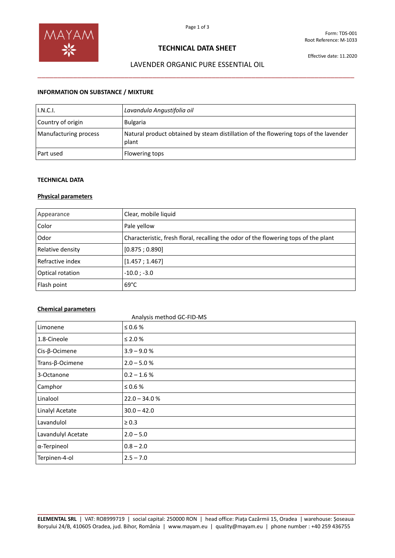

# **TECHNICAL DATA SHEET**

# LAVENDER ORGANIC PURE ESSENTIAL OIL \_\_\_\_\_\_\_\_\_\_\_\_\_\_\_\_\_\_\_\_\_\_\_\_\_\_\_\_\_\_\_\_\_\_\_\_\_\_\_\_\_\_\_\_\_\_\_\_\_\_\_\_\_\_\_\_\_\_\_\_\_\_\_\_\_\_\_\_\_\_\_\_\_\_\_\_\_\_\_\_

# **INFORMATION ON SUBSTANCE / MIXTURE**

| I.N.C.I.              | Lavandula Angustifolia oil                                                                    |
|-----------------------|-----------------------------------------------------------------------------------------------|
| Country of origin     | <b>Bulgaria</b>                                                                               |
| Manufacturing process | Natural product obtained by steam distillation of the flowering tops of the lavender<br>plant |
| Part used             | Flowering tops                                                                                |

#### **TECHNICAL DATA**

### **Physical parameters**

| Appearance       | Clear, mobile liquid                                                                |
|------------------|-------------------------------------------------------------------------------------|
| Color            | Pale yellow                                                                         |
| Odor             | Characteristic, fresh floral, recalling the odor of the flowering tops of the plant |
| Relative density | [0.875; 0.890]                                                                      |
| Refractive index | [1.457; 1.467]                                                                      |
| Optical rotation | $-10.0$ ; $-3.0$                                                                    |
| Flash point      | $69^{\circ}$ C                                                                      |

### **Chemical parameters**

| Limonene                 | $\leq 0.6$ %    |
|--------------------------|-----------------|
| 1.8-Cineole              | $≤$ 2.0 $%$     |
| $Cis$ - $\beta$ -Ocimene | $3.9 - 9.0 %$   |
| Trans- $\beta$ -Ocimene  | $2.0 - 5.0 %$   |
| 3-Octanone               | $0.2 - 1.6 %$   |
| Camphor                  | ≤ 0.6 $%$       |
| Linalool                 | $22.0 - 34.0 %$ |
| Linalyl Acetate          | $30.0 - 42.0$   |
| Lavandulol               | $\geq 0.3$      |
| Lavandulyl Acetate       | $2.0 - 5.0$     |
| α-Terpineol              | $0.8 - 2.0$     |
| Terpinen-4-ol            | $2.5 - 7.0$     |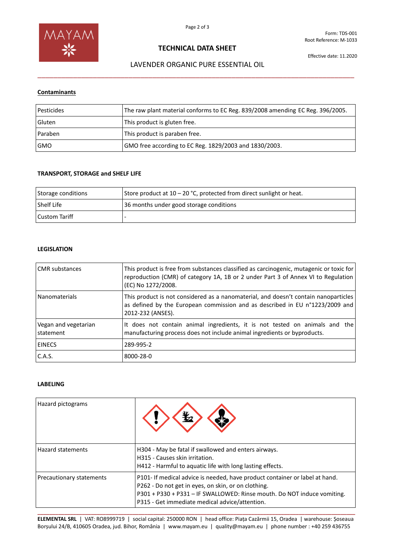

# **TECHNICAL DATA SHEET**

## LAVENDER ORGANIC PURE ESSENTIAL OIL

\_\_\_\_\_\_\_\_\_\_\_\_\_\_\_\_\_\_\_\_\_\_\_\_\_\_\_\_\_\_\_\_\_\_\_\_\_\_\_\_\_\_\_\_\_\_\_\_\_\_\_\_\_\_\_\_\_\_\_\_\_\_\_\_\_\_\_\_\_\_\_\_\_\_\_\_\_\_\_\_

## **Contaminants**

| Pesticides | The raw plant material conforms to EC Reg. 839/2008 amending EC Reg. 396/2005. |
|------------|--------------------------------------------------------------------------------|
| Gluten     | This product is gluten free.                                                   |
| Paraben    | This product is paraben free.                                                  |
| <b>GMO</b> | GMO free according to EC Reg. 1829/2003 and 1830/2003.                         |

## **TRANSPORT, STORAGE and SHELF LIFE**

| Storage conditions | Store product at $10 - 20$ °C, protected from direct sunlight or heat. |
|--------------------|------------------------------------------------------------------------|
| l Shelf Life       | 36 months under good storage conditions                                |
| l Custom Tariff    |                                                                        |

### **LEGISLATION**

| <b>CMR</b> substances             | This product is free from substances classified as carcinogenic, mutagenic or toxic for<br>reproduction (CMR) of category 1A, 1B or 2 under Part 3 of Annex VI to Regulation<br>(EC) No 1272/2008. |
|-----------------------------------|----------------------------------------------------------------------------------------------------------------------------------------------------------------------------------------------------|
| <b>Nanomaterials</b>              | This product is not considered as a nanomaterial, and doesn't contain nanoparticles<br>as defined by the European commission and as described in EU n°1223/2009 and<br>2012-232 (ANSES).           |
| Vegan and vegetarian<br>statement | It does not contain animal ingredients, it is not tested on animals and the<br>manufacturing process does not include animal ingredients or byproducts.                                            |
| <b>EINECS</b>                     | 289-995-2                                                                                                                                                                                          |
| C.A.S.                            | 8000-28-0                                                                                                                                                                                          |

### **LABELING**

| Hazard pictograms        |                                                                                                                                                                                                                                                                 |
|--------------------------|-----------------------------------------------------------------------------------------------------------------------------------------------------------------------------------------------------------------------------------------------------------------|
| <b>Hazard statements</b> | H304 - May be fatal if swallowed and enters airways.<br>H315 - Causes skin irritation.<br>H412 - Harmful to aquatic life with long lasting effects.                                                                                                             |
| Precautionary statements | P101- If medical advice is needed, have product container or label at hand.<br>P262 - Do not get in eyes, on skin, or on clothing.<br>P301 + P330 + P331 - IF SWALLOWED: Rinse mouth. Do NOT induce vomiting.<br>P315 - Get immediate medical advice/attention. |

**\_\_\_\_\_\_\_\_\_\_\_\_\_\_\_\_\_\_\_\_\_\_\_\_\_\_\_\_\_\_\_\_\_\_\_\_\_\_\_\_\_\_\_\_\_\_\_\_\_\_\_\_\_\_\_\_\_\_\_\_\_\_\_\_\_\_\_\_\_\_\_\_\_\_\_\_\_\_\_\_\_\_\_\_\_\_\_\_\_\_\_\_\_\_\_\_\_\_\_\_\_\_\_\_\_\_\_ ELEMENTAL SRL** | VAT: RO8999719 | social capital: 250000 RON | head office: Piața Cazărmii 15, Oradea | warehouse: Șoseaua Borșului 24/B, 410605 Oradea, jud. Bihor, România | www.mayam.eu | quality@mayam.eu | phone number : +40 259 436755